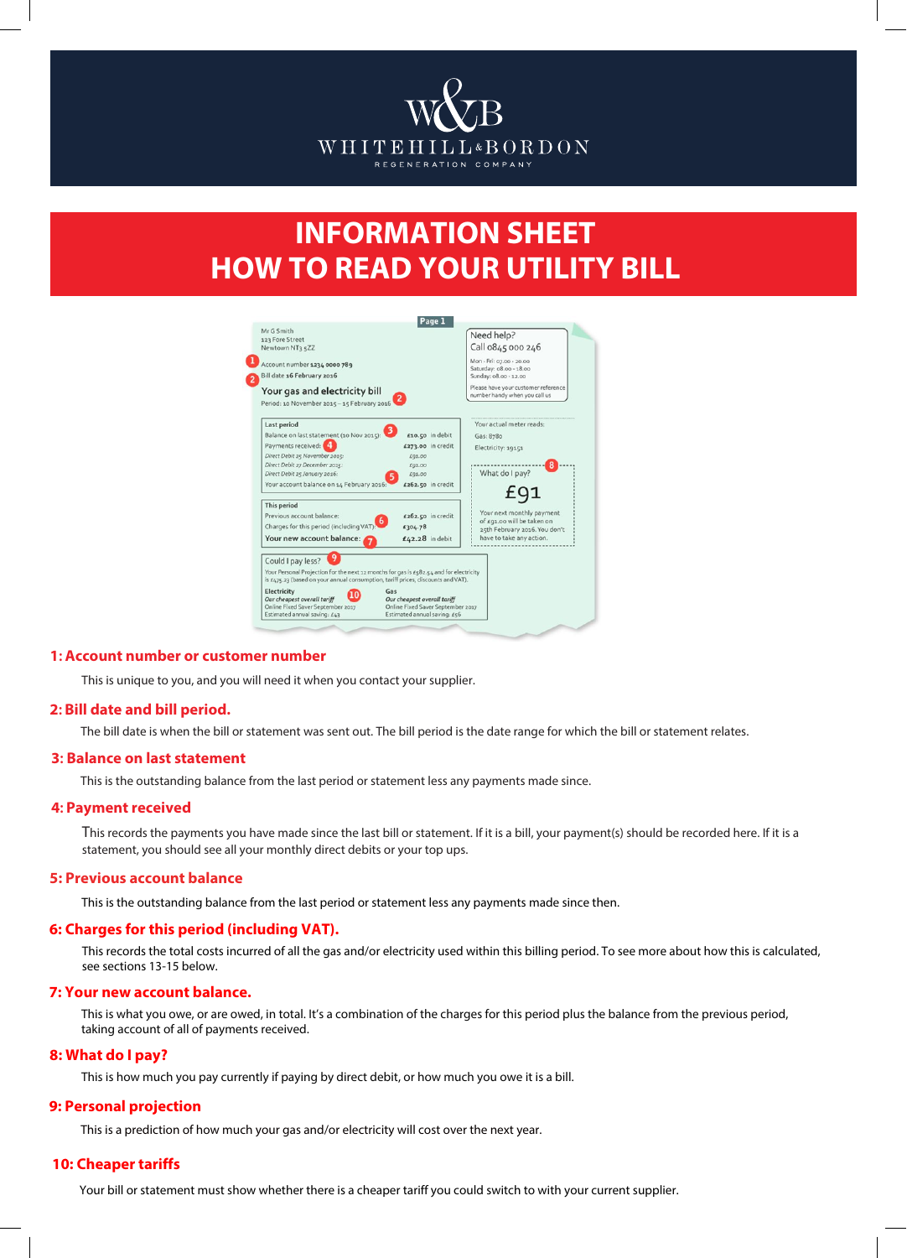

# **INFORMATION SHEET HOW TO READ YOUR UTILITY BILL**

|                                                                                                                                                                            | Page 1                                                                                           |                                                             |
|----------------------------------------------------------------------------------------------------------------------------------------------------------------------------|--------------------------------------------------------------------------------------------------|-------------------------------------------------------------|
| Mr G Smith                                                                                                                                                                 |                                                                                                  | Need help?                                                  |
| 123 Fore Street<br>Newtown NT3 5ZZ                                                                                                                                         |                                                                                                  | Call 0845 000 246                                           |
|                                                                                                                                                                            |                                                                                                  |                                                             |
| Account number 1234 0000 789                                                                                                                                               |                                                                                                  | Mon - Fri: 07.00 - 20.00                                    |
| Bill date 16 February 2016                                                                                                                                                 |                                                                                                  | Saturday: 08.00 - 18.00<br>Sunday: 08.00 - 12.00            |
|                                                                                                                                                                            |                                                                                                  | Please have your customer reference                         |
| Your gas and electricity bill                                                                                                                                              |                                                                                                  | number handy when you call us                               |
| Period: 10 November 2015 - 15 February 2016                                                                                                                                |                                                                                                  |                                                             |
| Last period                                                                                                                                                                |                                                                                                  | Your actual meter reads:                                    |
| Balance on last statement (10 Nov 2015):                                                                                                                                   | $£10.50$ in debit                                                                                | Gas: 8780                                                   |
| Payments received:                                                                                                                                                         | £273.00 in credit                                                                                | Electricity: 19151                                          |
| Direct Debit 25 November 2015:                                                                                                                                             | £91.00                                                                                           |                                                             |
| Direct Debit 27 December 2015:                                                                                                                                             | £91.00                                                                                           |                                                             |
| Direct Debit 25 January 2016:                                                                                                                                              | £91.00                                                                                           | What do I pay?                                              |
| Your account balance on 14 February 2016:                                                                                                                                  | £262.50 in credit                                                                                |                                                             |
| This period                                                                                                                                                                |                                                                                                  |                                                             |
| Previous account balance:                                                                                                                                                  | £262.50 in credit                                                                                | Your next monthly payment                                   |
| Charges for this period (including VAT)                                                                                                                                    | £304.78                                                                                          | of £91.00 will be taken on<br>25th February 2016. You don't |
| Your new account balance:                                                                                                                                                  | £42.28 in debit                                                                                  | have to take any action.                                    |
| Could I pay less?                                                                                                                                                          |                                                                                                  |                                                             |
| Your Personal Projection for the next 12 months for gas is £582.54 and for electricity<br>is £475.23 (based on your annual consumption, tariff prices, discounts and VAT). |                                                                                                  |                                                             |
| Electricity<br>Gas<br>Our cheapest overall tariff<br>Online Fixed Saver September 2017<br>Estimated annual saving: £43                                                     | Our cheapest overall tariff<br>Online Fixed Saver September 2017<br>Estimated annual saving: £56 |                                                             |

## **1: Account number or customer number**

This is unique to you, and you will need it when you contact your supplier.

### **2: Bill date and bill period.**

The bill date is when the bill or statement was sent out. The bill period is the date range for which the bill or statement relates.

#### **3: Balance on last statement**

This is the outstanding balance from the last period or statement less any payments made since.

#### **4: Payment received**

This records the payments you have made since the last bill or statement. If it is a bill, your payment(s) should be recorded here. If it is a statement, you should see all your monthly direct debits or your top ups.

#### **5: Previous account balance**

This is the outstanding balance from the last period or statement less any payments made since then.

# **6: Charges for this period (including VAT).**

This records the total costs incurred of all the gas and/or electricity used within this billing period. To see more about how this is calculated, see sections 13-15 below.

# **7: Your new account balance.**

This is what you owe, or are owed, in total. It's a combination of the charges for this period plus the balance from the previous period, taking account of all of payments received.

## **8: What do I pay?**

This is how much you pay currently if paying by direct debit, or how much you owe it is a bill.

# **9: Personal projection**

This is a prediction of how much your gas and/or electricity will cost over the next year.

#### **10: Cheaper tariffs**

Your bill or statement must show whether there is a cheaper tariff you could switch to with your current supplier.